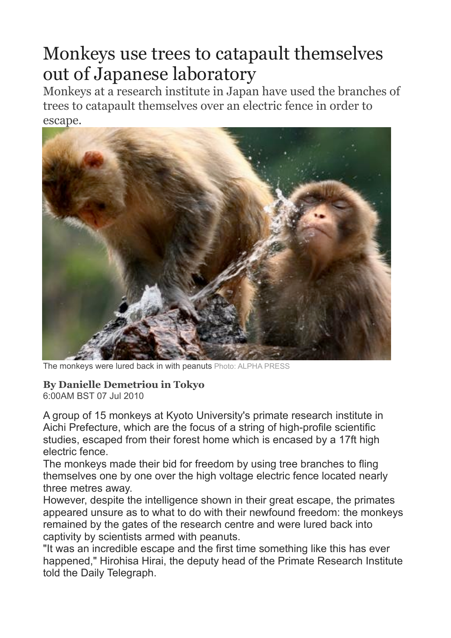## Monkeys use trees to catapault themselves out of Japanese laboratory

Monkeys at a research institute in Japan have used the branches of trees to catapault themselves over an electric fence in order to escape.



The monkeys were lured back in with peanuts Photo: ALPHA PRESS

## **By Danielle Demetriou in Tokyo**

6:00AM BST 07 Jul 2010

A group of 15 monkeys at Kyoto University's primate research institute in Aichi Prefecture, which are the focus of a string of high-profile scientific studies, escaped from their forest home which is encased by a 17ft high electric fence.

The monkeys made their bid for freedom by using tree branches to fling themselves one by one over the high voltage electric fence located nearly three metres away.

However, despite the intelligence shown in their great escape, the primates appeared unsure as to what to do with their newfound freedom: the monkeys remained by the gates of the research centre and were lured back into captivity by scientists armed with peanuts.

"It was an incredible escape and the first time something like this has ever happened," Hirohisa Hirai, the deputy head of the Primate Research Institute told the Daily Telegraph.